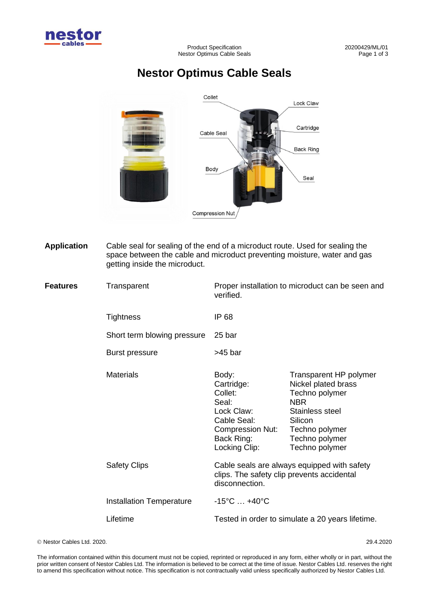

## **Nestor Optimus Cable Seals**



**Application** Cable seal for sealing of the end of a microduct route. Used for sealing the space between the cable and microduct preventing moisture, water and gas getting inside the microduct.

**Features** Transparent Proper installation to microduct can be seen and verified. **Tightness** Short term blowing pressure Burst pressure IP 68 25 bar >45 bar Materials **Body:** Cartridge: Collet: Seal: Lock Claw: Cable Seal: Compression Nut: Back Ring: Locking Clip: Transparent HP polymer Nickel plated brass Techno polymer **NBR** Stainless steel **Silicon** Techno polymer Techno polymer Techno polymer Safety Clips Cable seals are always equipped with safety clips. The safety clip prevents accidental disconnection. Installation Temperature -15°C ... +40°C Lifetime Tested in order to simulate a 20 years lifetime.

© Nestor Cables Ltd. 2020. 29.4.2020

The information contained within this document must not be copied, reprinted or reproduced in any form, either wholly or in part, without the prior written consent of Nestor Cables Ltd. The information is believed to be correct at the time of issue. Nestor Cables Ltd. reserves the right to amend this specification without notice. This specification is not contractually valid unless specifically authorized by Nestor Cables Ltd.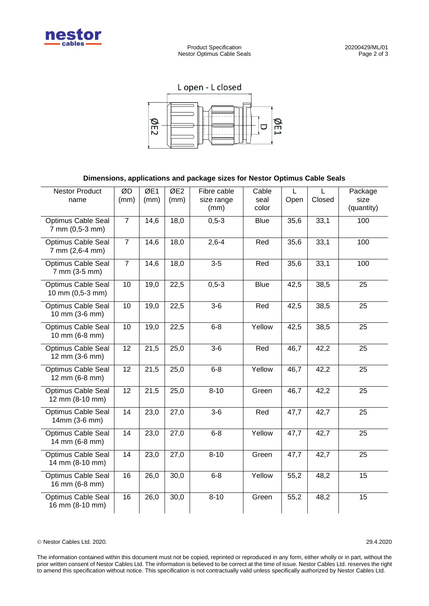

Product Specification 20200429/ML/01<br>stor Optimus Cable Seals 20200429/ML/01 Nestor Optimus Cable Seals



## **Dimensions, applications and package sizes for Nestor Optimus Cable Seals**

| <b>Nestor Product</b><br>name                 | ØD<br>(mm)     | ØE1<br>(mm) | ØE <sub>2</sub><br>(mm) | Fibre cable<br>size range<br>(mm) | Cable<br>seal<br>color | $\mathbf{L}$<br>Open | $\mathbf{L}$<br>Closed | Package<br>size<br>(quantity) |
|-----------------------------------------------|----------------|-------------|-------------------------|-----------------------------------|------------------------|----------------------|------------------------|-------------------------------|
| <b>Optimus Cable Seal</b><br>7 mm (0,5-3 mm)  | $\overline{7}$ | 14,6        | 18,0                    | $0, 5 - 3$                        | <b>Blue</b>            | 35,6                 | 33,1                   | 100                           |
| <b>Optimus Cable Seal</b><br>7 mm (2,6-4 mm)  | $\overline{7}$ | 14,6        | 18,0                    | $2,6-4$                           | Red                    | 35,6                 | 33,1                   | 100                           |
| <b>Optimus Cable Seal</b><br>7 mm (3-5 mm)    | $\overline{7}$ | 14,6        | 18,0                    | $\overline{3}$ -5                 | Red                    | 35,6                 | 33,1                   | 100                           |
| <b>Optimus Cable Seal</b><br>10 mm (0,5-3 mm) | 10             | 19,0        | 22,5                    | $0, 5 - 3$                        | <b>Blue</b>            | 42,5                 | 38,5                   | 25                            |
| <b>Optimus Cable Seal</b><br>10 mm (3-6 mm)   | 10             | 19,0        | 22,5                    | $3-6$                             | Red                    | 42,5                 | 38,5                   | 25                            |
| Optimus Cable Seal<br>10 mm (6-8 mm)          | 10             | 19,0        | 22,5                    | $6 - 8$                           | Yellow                 | 42,5                 | 38,5                   | 25                            |
| Optimus Cable Seal<br>12 mm (3-6 mm)          | 12             | 21,5        | 25,0                    | $3-6$                             | Red                    | 46,7                 | 42,2                   | 25                            |
| Optimus Cable Seal<br>12 mm (6-8 mm)          | 12             | 21,5        | 25,0                    | $6 - 8$                           | Yellow                 | 46,7                 | 42,2                   | 25                            |
| Optimus Cable Seal<br>12 mm (8-10 mm)         | 12             | 21,5        | 25,0                    | $8 - 10$                          | Green                  | 46,7                 | 42,2                   | 25                            |
| <b>Optimus Cable Seal</b><br>14mm (3-6 mm)    | 14             | 23,0        | 27,0                    | $3-6$                             | Red                    | 47,7                 | 42,7                   | 25                            |
| <b>Optimus Cable Seal</b><br>14 mm (6-8 mm)   | 14             | 23,0        | 27,0                    | $6 - 8$                           | Yellow                 | 47,7                 | 42,7                   | 25                            |
| <b>Optimus Cable Seal</b><br>14 mm (8-10 mm)  | 14             | 23,0        | 27,0                    | $8 - 10$                          | Green                  | 47,7                 | 42,7                   | 25                            |
| <b>Optimus Cable Seal</b><br>16 mm (6-8 mm)   | 16             | 26,0        | 30,0                    | $6 - 8$                           | Yellow                 | 55,2                 | 48,2                   | 15                            |
| Optimus Cable Seal<br>16 mm (8-10 mm)         | 16             | 26,0        | 30,0                    | $8 - 10$                          | Green                  | 55,2                 | 48,2                   | 15                            |

© Nestor Cables Ltd. 2020. 29.4.2020

The information contained within this document must not be copied, reprinted or reproduced in any form, either wholly or in part, without the prior written consent of Nestor Cables Ltd. The information is believed to be correct at the time of issue. Nestor Cables Ltd. reserves the right to amend this specification without notice. This specification is not contractually valid unless specifically authorized by Nestor Cables Ltd.